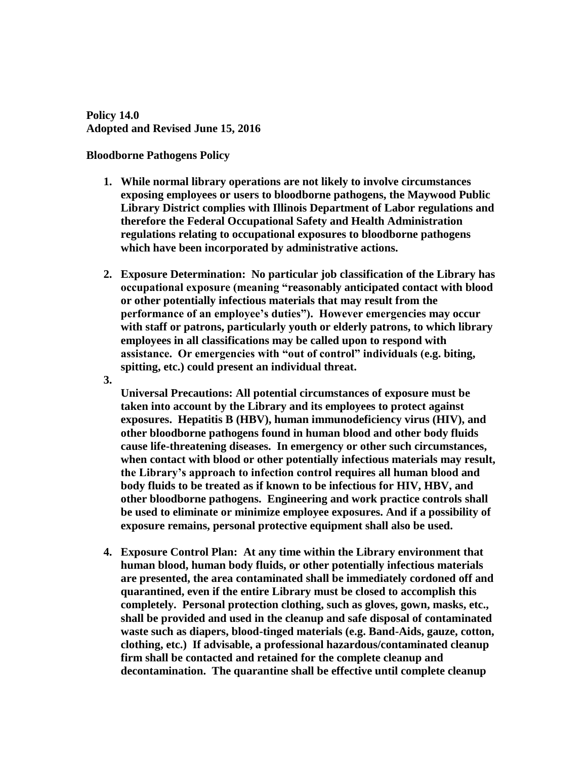**Policy 14.0 Adopted and Revised June 15, 2016**

## **Bloodborne Pathogens Policy**

- **1. While normal library operations are not likely to involve circumstances exposing employees or users to bloodborne pathogens, the Maywood Public Library District complies with Illinois Department of Labor regulations and therefore the Federal Occupational Safety and Health Administration regulations relating to occupational exposures to bloodborne pathogens which have been incorporated by administrative actions.**
- **2. Exposure Determination: No particular job classification of the Library has occupational exposure (meaning "reasonably anticipated contact with blood or other potentially infectious materials that may result from the performance of an employee's duties"). However emergencies may occur with staff or patrons, particularly youth or elderly patrons, to which library employees in all classifications may be called upon to respond with assistance. Or emergencies with "out of control" individuals (e.g. biting, spitting, etc.) could present an individual threat.**
- **3.**

**Universal Precautions: All potential circumstances of exposure must be taken into account by the Library and its employees to protect against exposures. Hepatitis B (HBV), human immunodeficiency virus (HIV), and other bloodborne pathogens found in human blood and other body fluids cause life-threatening diseases. In emergency or other such circumstances, when contact with blood or other potentially infectious materials may result, the Library's approach to infection control requires all human blood and body fluids to be treated as if known to be infectious for HIV, HBV, and other bloodborne pathogens. Engineering and work practice controls shall be used to eliminate or minimize employee exposures. And if a possibility of exposure remains, personal protective equipment shall also be used.**

**4. Exposure Control Plan: At any time within the Library environment that human blood, human body fluids, or other potentially infectious materials are presented, the area contaminated shall be immediately cordoned off and quarantined, even if the entire Library must be closed to accomplish this completely. Personal protection clothing, such as gloves, gown, masks, etc., shall be provided and used in the cleanup and safe disposal of contaminated waste such as diapers, blood-tinged materials (e.g. Band-Aids, gauze, cotton, clothing, etc.) If advisable, a professional hazardous/contaminated cleanup firm shall be contacted and retained for the complete cleanup and decontamination. The quarantine shall be effective until complete cleanup**